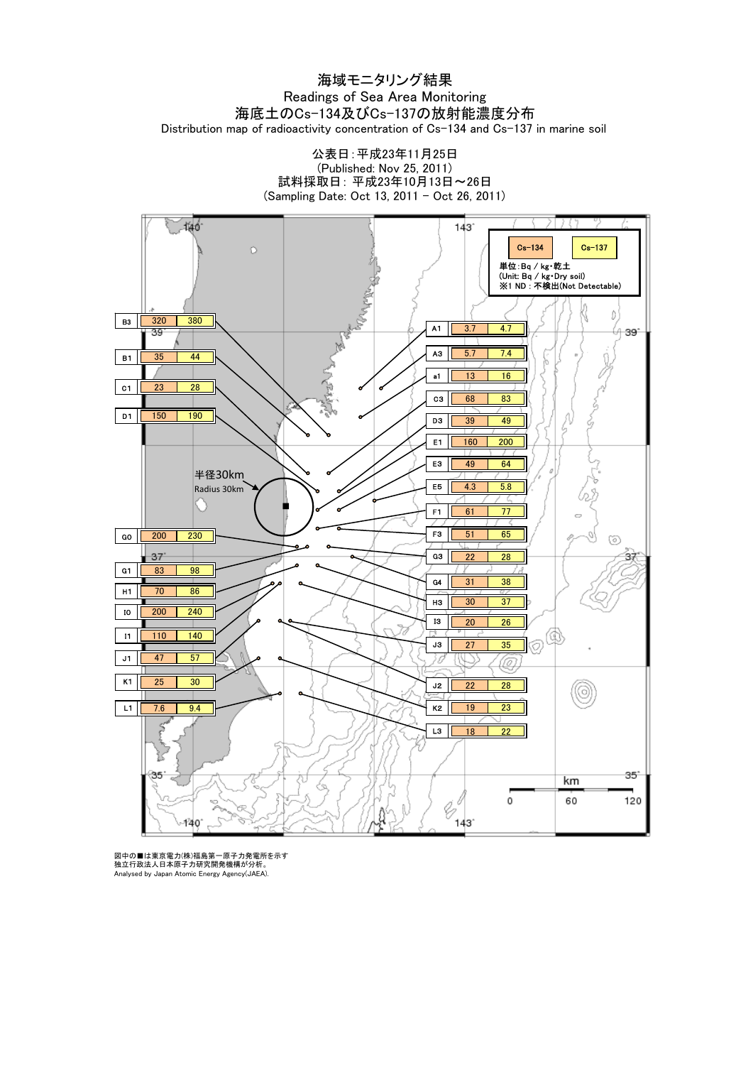#### 海域モニタリング結果 Readings of Sea Area Monitoring 海底土のCs-134及びCs-137の放射能濃度分布 Distribution map of radioactivity concentration of Cs-134 and Cs-137 in marine soil

公表日:平成23年11月25日 (Published: Nov 25, 2011) 試料採取日: 平成23年10月13日~26日 (Sampling Date: Oct 13, 2011 - Oct 26, 2011)



図中の■は東京電力(株)福島第一原子力発電所を示す<br>独立行政法人日本原子力研究開発機構が分析。<br>Analysed by Japan Atomic Energy Agency(JAEA).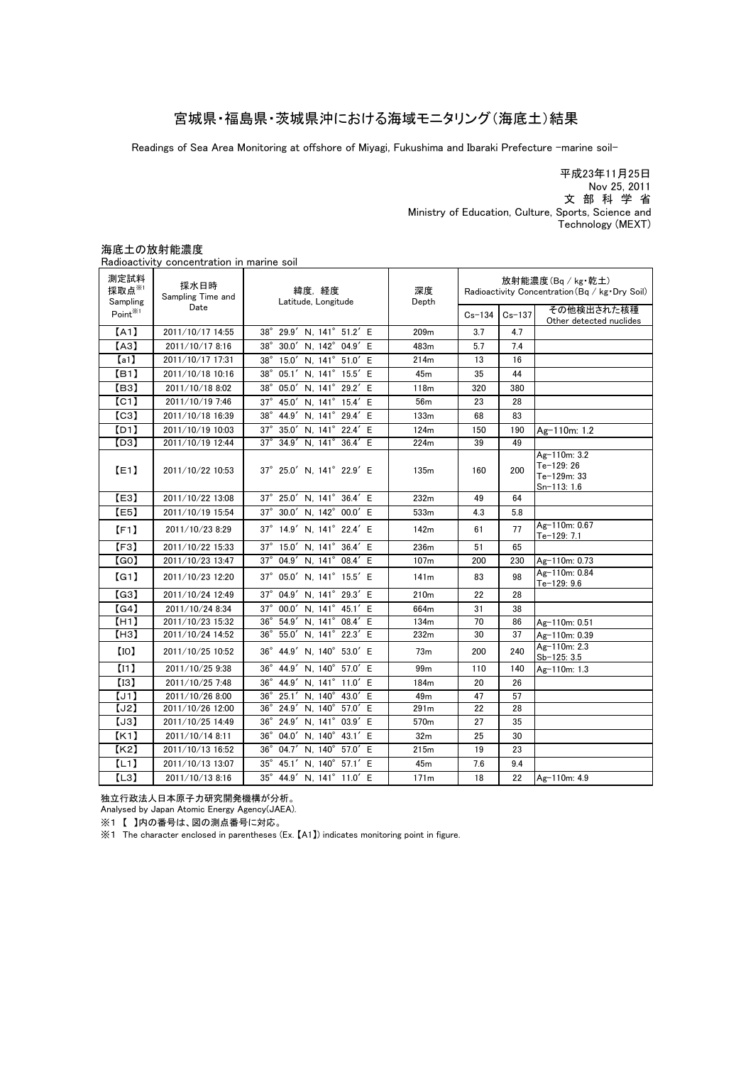#### 宮城県・福島県・茨城県沖における海域モニタリング(海底土)結果

Readings of Sea Area Monitoring at offshore of Miyagi, Fukushima and Ibaraki Prefecture -marine soil-

平成23年11月25日 文 部 科 学 省 Nov 25, 2011 Ministry of Education, Culture, Sports, Science and Technology (MEXT)

#### Radioactivity concentration in marine soil その他検出された核種 Other detected nuclides Ag-110m: 1.2 Ag-110m: 3.2 Te-129: 26 Te-129m: 33 Sn-113: 1.6 Ag-110m: 0.67 Te-129: 7.1 Ag-110m: 0.73 Ag-110m: 0.84  $Te - 129:9.6$ Ag-110m: 0.51 Ag-110m: 0.39 Ag-110m: 2.3 Sb-125: 3.5 Ag-110m: 1.3 2011/10/13 8:16 35° 44.9′N, 141° 11.0′E 171m 18 22 Ag-110m: 4.9 35°45.1′N,140°57.1′E 30 45m  $171m$  $7.6$  9.4 28 36° 24.9' N, 141° 03.9' E 570m 27 35 291m 22 27  $73m$   $200$   $240$  $[11]$  2011/10/25 9:38 36° 44.9' N, 140° 57.0' E 99m 110 140 2011/10/25 10:52 99m 86  $[H3]$  | 2011/10/24 14:52 | 36°55.0′N, 141°22.3′E | 232m | 30 | 37  $[H1]$  2011/10/23 15:32 36° 54.9' N, 141° 08.4' E 28 【G4】 2011/10/24 8:34 37°00.0′N,141°45.1′E 664m 31 38  $[G3]$  2011/10/24 12:49 37°04.9' N, 141°29.3' E 230  $\lceil$  G11  $\rfloor$  2011/10/23 12:20  $\rfloor$  37° 05.0′N 141° 15.5′F  $\rfloor$  141m  $\rfloor$  83 98 37°04.9′N,141°08.4′E 65 【G0】 2011/10/19 15:54 2011/10/23 8:29 2011/10/23 13:47 37°30.0′N,142°00.0′E 37°14.9′N,141°22.4′E 【F3】 4.3 51 2011/10/19 10:03 2011/10/19 12:44 2011/10/22 10:53 2011/10/22 13:08 37°25.0′N,141°22.9′E 37°25.0′N,141°36.4′E 37°15.0′N,141°36.4′E 2011/10/25 7:48 2011/10/22 15:33 57 184m 20 26 2011/10/26 8:00 2011/10/26 12:00 2011/10/25 14:49 25 49m 47 2011/10/14 8:11 36° 04.0' N, 140° 43.1' E 210m 22 134m 236m 107m 200 70 61 77 49 64 5.8 49  $135m$   $160$   $200$ 224m 39 160 83 124m 150 190 133m 68 150 28 118m 320 23 142m 232m 533m 16 45m 35 44 13 380 56m 2011/10/17 17:31 | 38°15.0′N, 141°51.0′E | 214m 2011/10/18 10:16 2011/10/18 8:02 38°05.0' N, 141°29.2' E 38°05.1′N,141°15.5′E 【I3】 【J1】 【J3】 【J2】 【I0】 【B3】 【C1】 【C3】 【D1】 【E1】 【E3】 【E5】 【F1】  $37$  47  $[A3]$  2011/10/17 8:16 38° 30.0' N, 142° 04.9' E 483m 5.7 7.4 2011/10/17 14:55 38°29.9′N,141°51.2′E 209m 36°25.1′N,140°43.0′E 36°24.9′N,140°57.0′E 37°45.0′N,141°15.4′E 38°44.9′N,141°29.4′E 36°44.9′N,140°53.0′E 36°44.9′N,141°11.0′E 37°35.0′N,141°22.4′E 37°34.9′N,141°36.4′E 32m 【L3】 2011/10/13 13:07 2011/10/13 16:52 36° 04.7′N, 140° 57.0′E 215m 19 23  $Cs - 134$ 測定試料 採取点※1 Sampling<br>Point<sup><sup>361</sup></sup>  $\mathsf{Point}^{\text{%1}}$   $\begin{array}{|l|l|}\n\hline\n\end{array}$   $\begin{array}{|l|l|}\n\hline\n\end{array}$   $\begin{array}{|l|l|}\n\hline\n\end{array}$   $\begin{array}{|l|l|}\n\hline\n\end{array}$   $\begin{array}{|l|l|}\n\hline\n\end{array}$   $\begin{array}{|l|l|}\n\hline\n\end{array}$   $\begin{array}{|l|l|}\n\hline\n\end{array}$   $\begin{array}{|l|l|}\n\hline\n\end{array}$   $\begin{array}{|l|l|}\n$ 緯度, 経度 Latitude, Longitude 放射能濃度(Bq / kg・乾土) Radioactivity Concentration(Bq / kg・Dry Soil) 【K2】 【L1】 深度 Depth 採水日時 Sampling Time and Date 【A1】 【a1】 【B1】 【D3】 2011/10/19 7:46 2011/10/18 16:39 【K1】

海底土の放射能濃度

独立行政法人日本原子力研究開発機構が分析。

Analysed by Japan Atomic Energy Agency(JAEA).

※1 【 】内の番号は、図の測点番号に対応。

※1 The character enclosed in parentheses (Ex. 【A1】) indicates monitoring point in figure.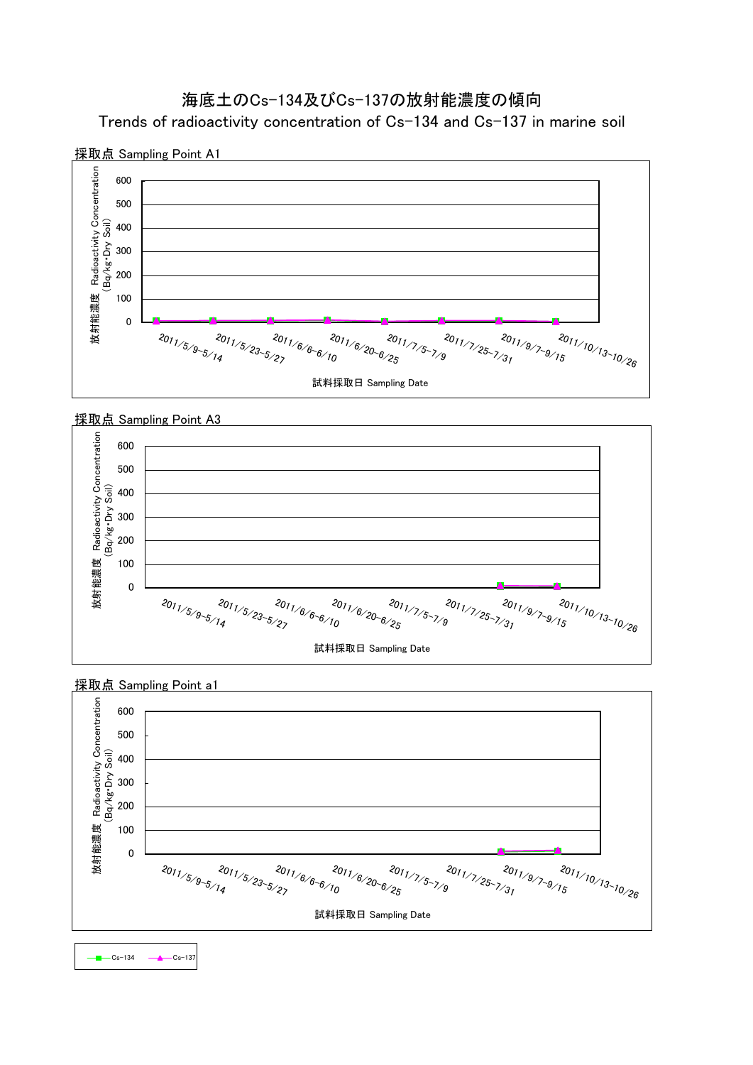



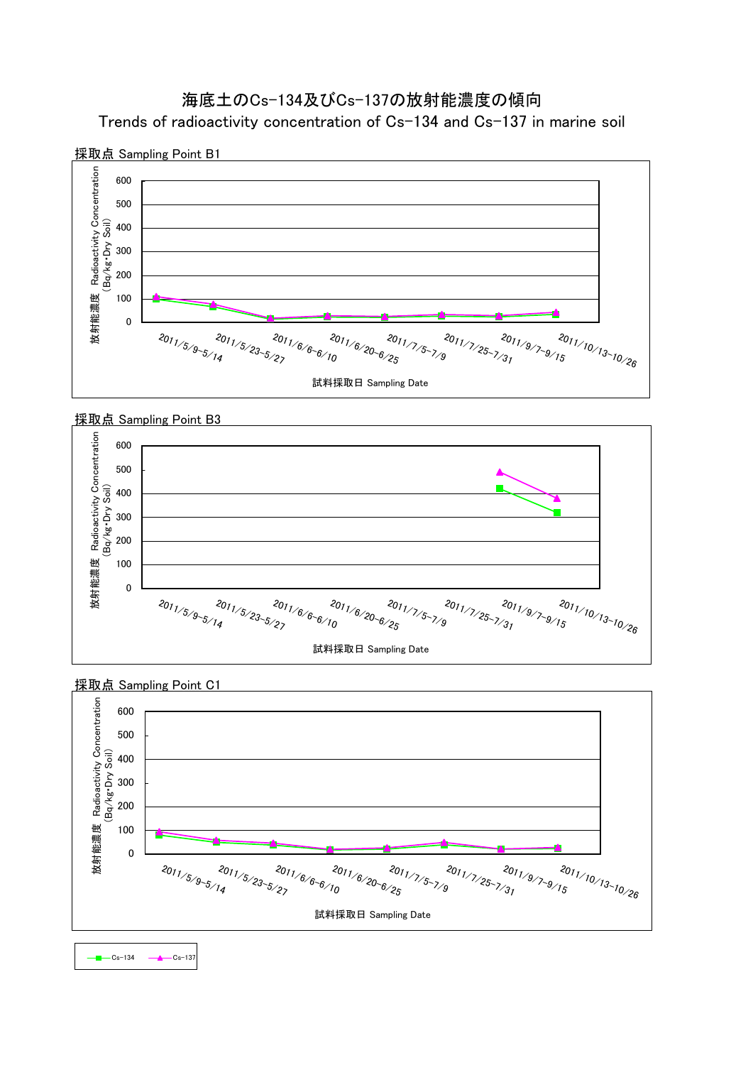





採取点 Sampling Point C1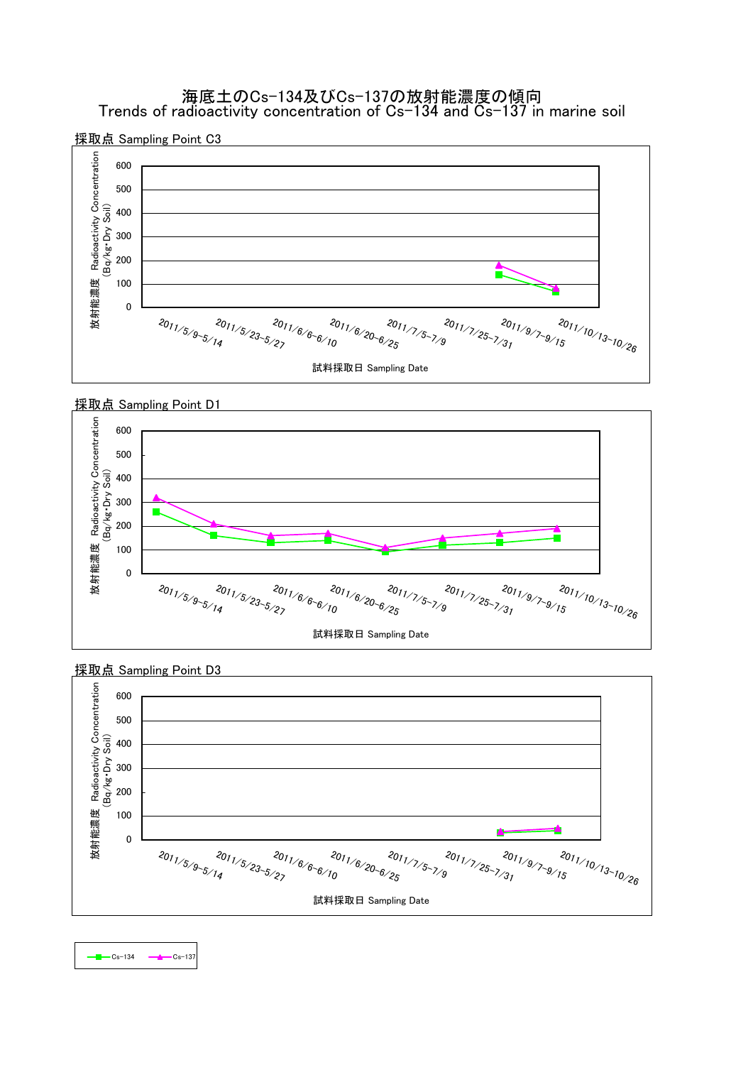海底土のCs-134及びCs-137の放射能濃度の傾向 Trends of radioactivity concentration of Cs-134 and Cs-137 in marine soil







採取点 Sampling Point D3

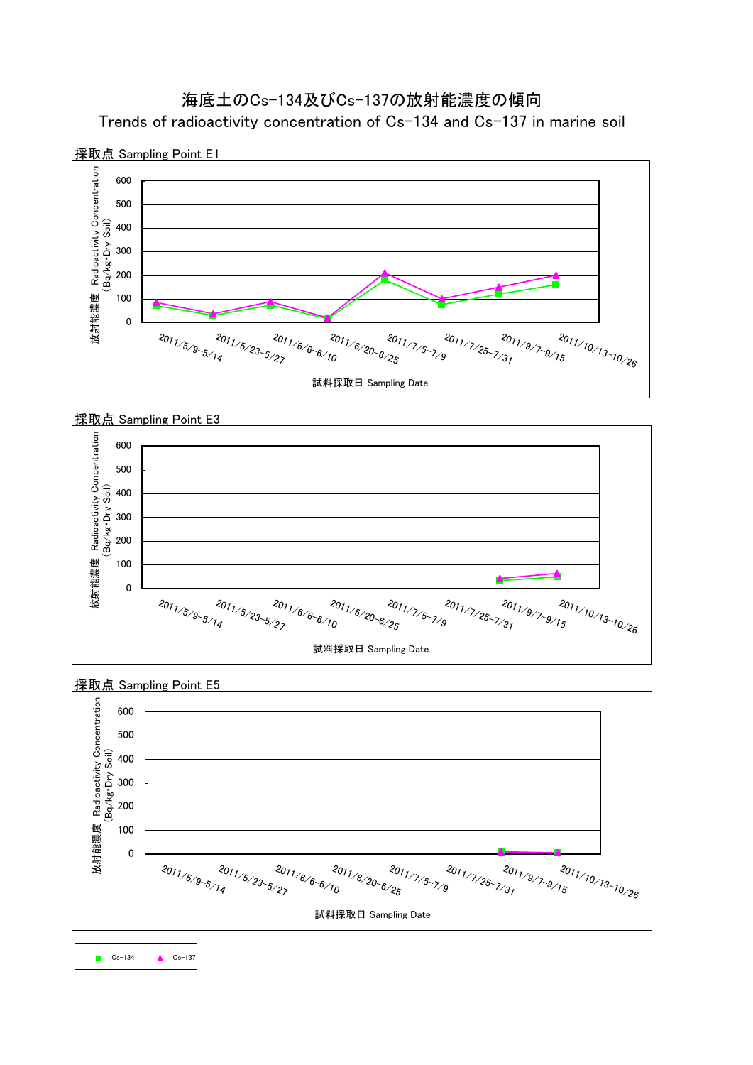# Trends of radioactivity concentration of Cs-134 and Cs-137 in marine soil 海底土のCs-134及びCs-137の放射能濃度の傾向







採取点 Sampling Point E5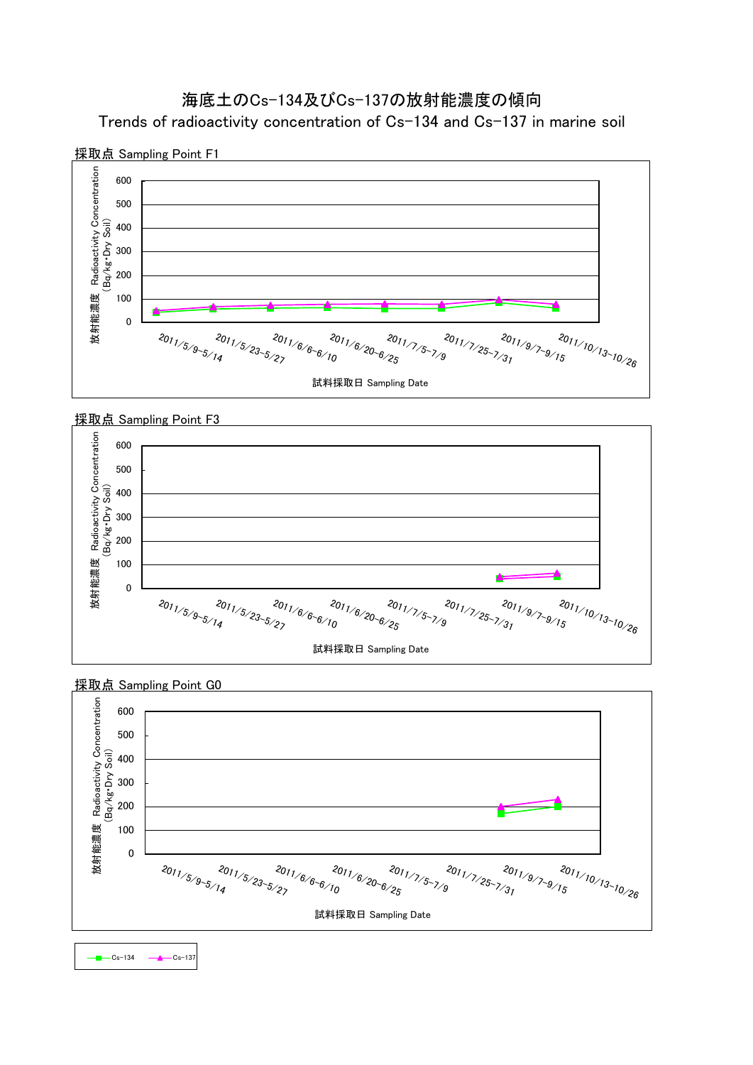



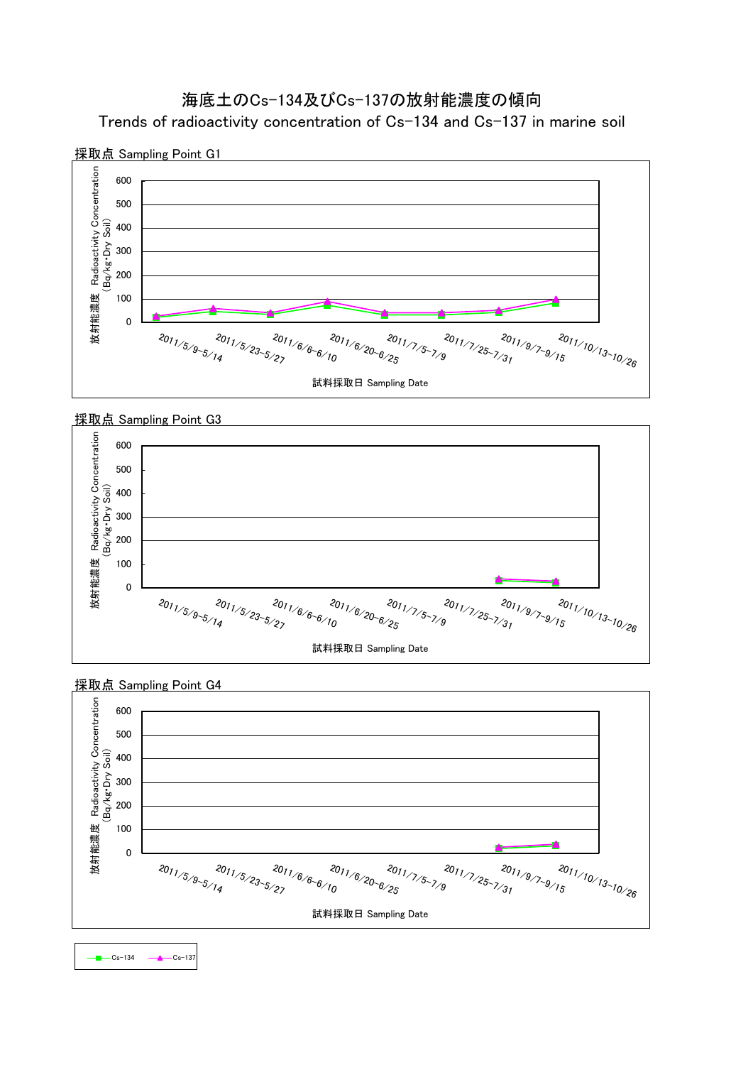



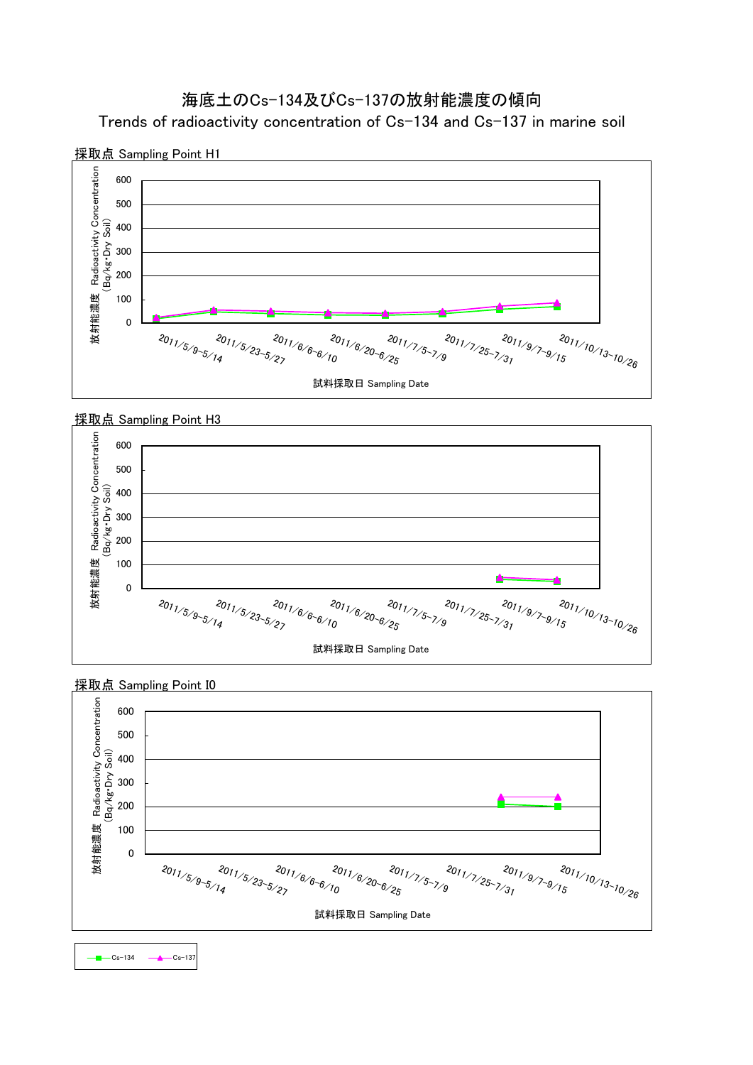Trends of radioactivity concentration of Cs-134 and Cs-137 in marine soil







採取点 Sampling Point H3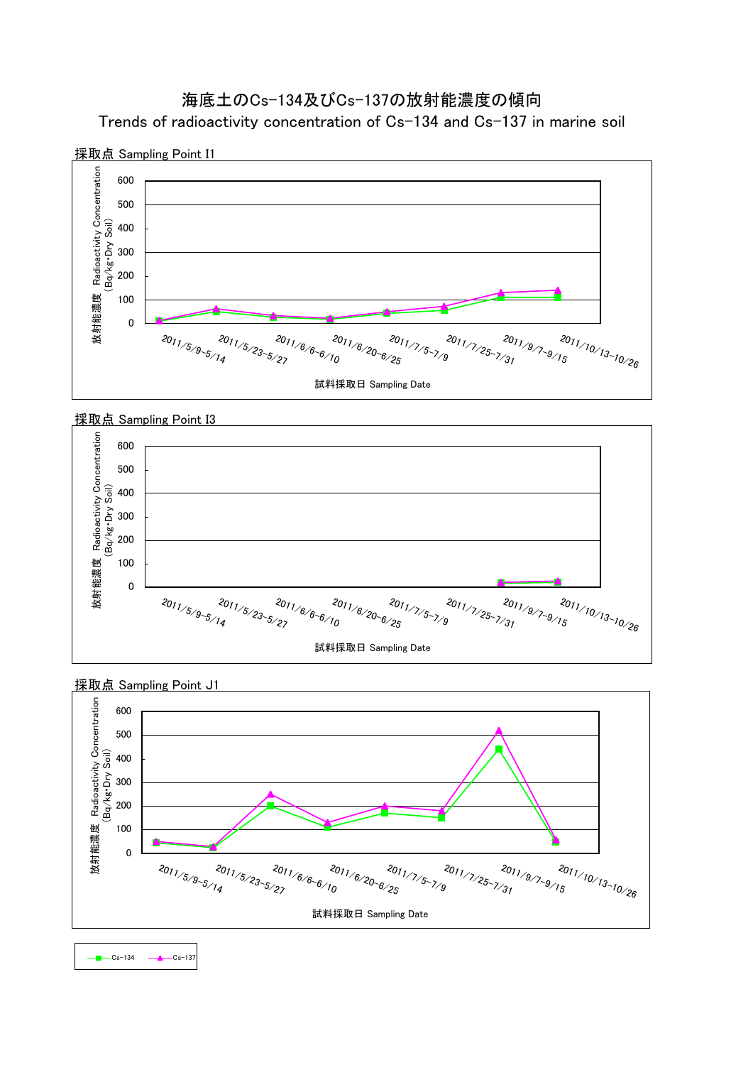Trends of radioactivity concentration of Cs-134 and Cs-137 in marine soil





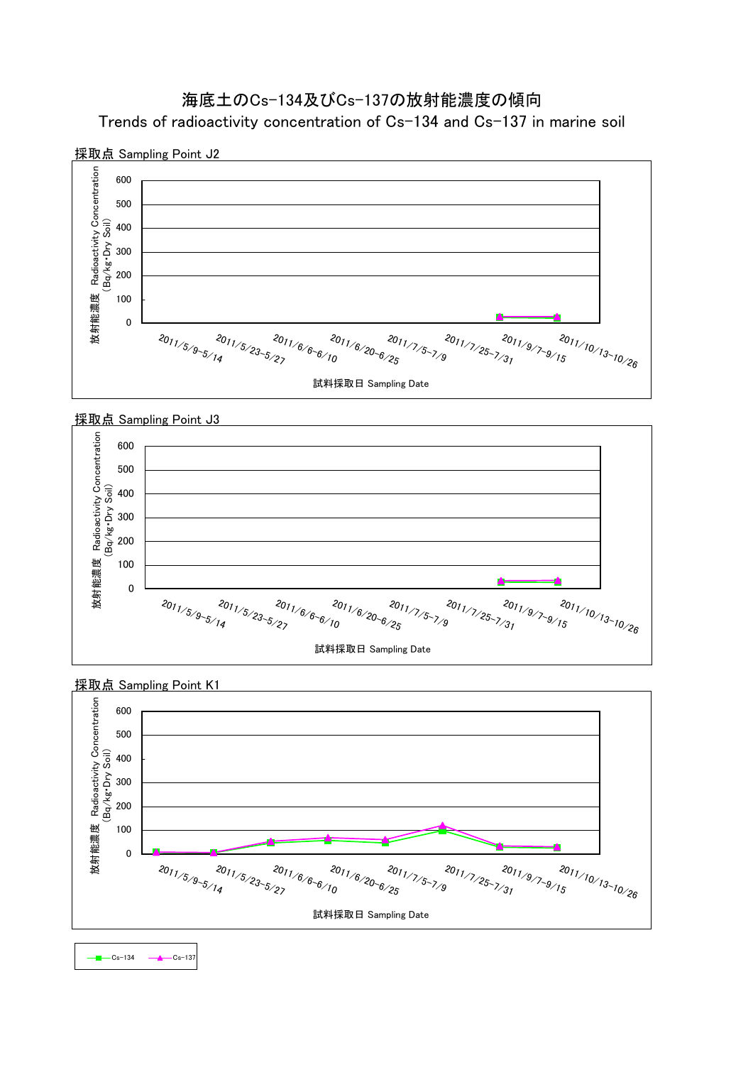Trends of radioactivity concentration of Cs-134 and Cs-137 in marine soil







採取点 Sampling Point K1